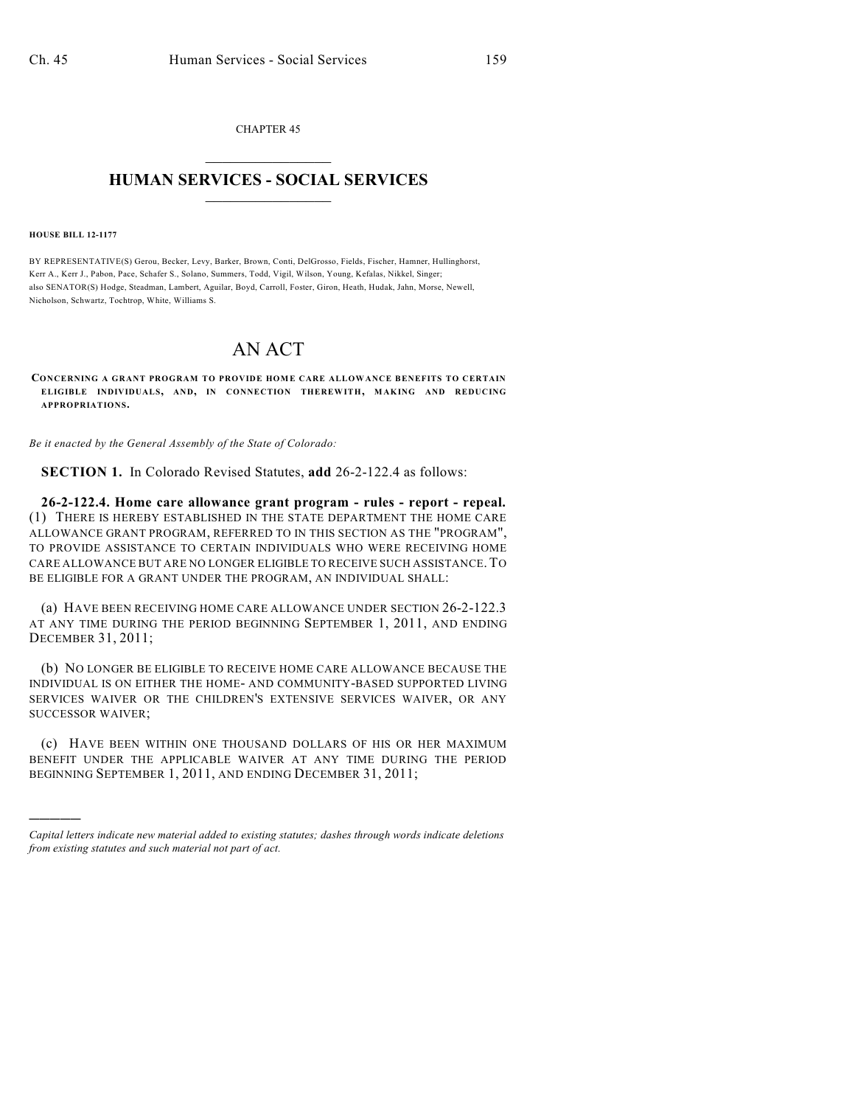CHAPTER 45  $\mathcal{L}_\text{max}$  . The set of the set of the set of the set of the set of the set of the set of the set of the set of the set of the set of the set of the set of the set of the set of the set of the set of the set of the set

#### **HUMAN SERVICES - SOCIAL SERVICES**  $\frac{1}{2}$  ,  $\frac{1}{2}$  ,  $\frac{1}{2}$  ,  $\frac{1}{2}$  ,  $\frac{1}{2}$  ,  $\frac{1}{2}$

**HOUSE BILL 12-1177**

)))))

BY REPRESENTATIVE(S) Gerou, Becker, Levy, Barker, Brown, Conti, DelGrosso, Fields, Fischer, Hamner, Hullinghorst, Kerr A., Kerr J., Pabon, Pace, Schafer S., Solano, Summers, Todd, Vigil, Wilson, Young, Kefalas, Nikkel, Singer; also SENATOR(S) Hodge, Steadman, Lambert, Aguilar, Boyd, Carroll, Foster, Giron, Heath, Hudak, Jahn, Morse, Newell, Nicholson, Schwartz, Tochtrop, White, Williams S.

## AN ACT

**CONCERNING A GRANT PROGRAM TO PROVIDE HOME CARE ALLOWANCE BENEFITS TO CERTAIN ELIGIBLE INDIVIDUALS, AND, IN CONNECTION THEREWITH, MAKING AND REDUCING APPROPRIATIONS.**

*Be it enacted by the General Assembly of the State of Colorado:*

**SECTION 1.** In Colorado Revised Statutes, **add** 26-2-122.4 as follows:

**26-2-122.4. Home care allowance grant program - rules - report - repeal.** (1) THERE IS HEREBY ESTABLISHED IN THE STATE DEPARTMENT THE HOME CARE ALLOWANCE GRANT PROGRAM, REFERRED TO IN THIS SECTION AS THE "PROGRAM", TO PROVIDE ASSISTANCE TO CERTAIN INDIVIDUALS WHO WERE RECEIVING HOME CARE ALLOWANCE BUT ARE NO LONGER ELIGIBLE TO RECEIVE SUCH ASSISTANCE.TO BE ELIGIBLE FOR A GRANT UNDER THE PROGRAM, AN INDIVIDUAL SHALL:

(a) HAVE BEEN RECEIVING HOME CARE ALLOWANCE UNDER SECTION 26-2-122.3 AT ANY TIME DURING THE PERIOD BEGINNING SEPTEMBER 1, 2011, AND ENDING DECEMBER 31, 2011;

(b) NO LONGER BE ELIGIBLE TO RECEIVE HOME CARE ALLOWANCE BECAUSE THE INDIVIDUAL IS ON EITHER THE HOME- AND COMMUNITY-BASED SUPPORTED LIVING SERVICES WAIVER OR THE CHILDREN'S EXTENSIVE SERVICES WAIVER, OR ANY SUCCESSOR WAIVER;

(c) HAVE BEEN WITHIN ONE THOUSAND DOLLARS OF HIS OR HER MAXIMUM BENEFIT UNDER THE APPLICABLE WAIVER AT ANY TIME DURING THE PERIOD BEGINNING SEPTEMBER 1, 2011, AND ENDING DECEMBER 31, 2011;

*Capital letters indicate new material added to existing statutes; dashes through words indicate deletions from existing statutes and such material not part of act.*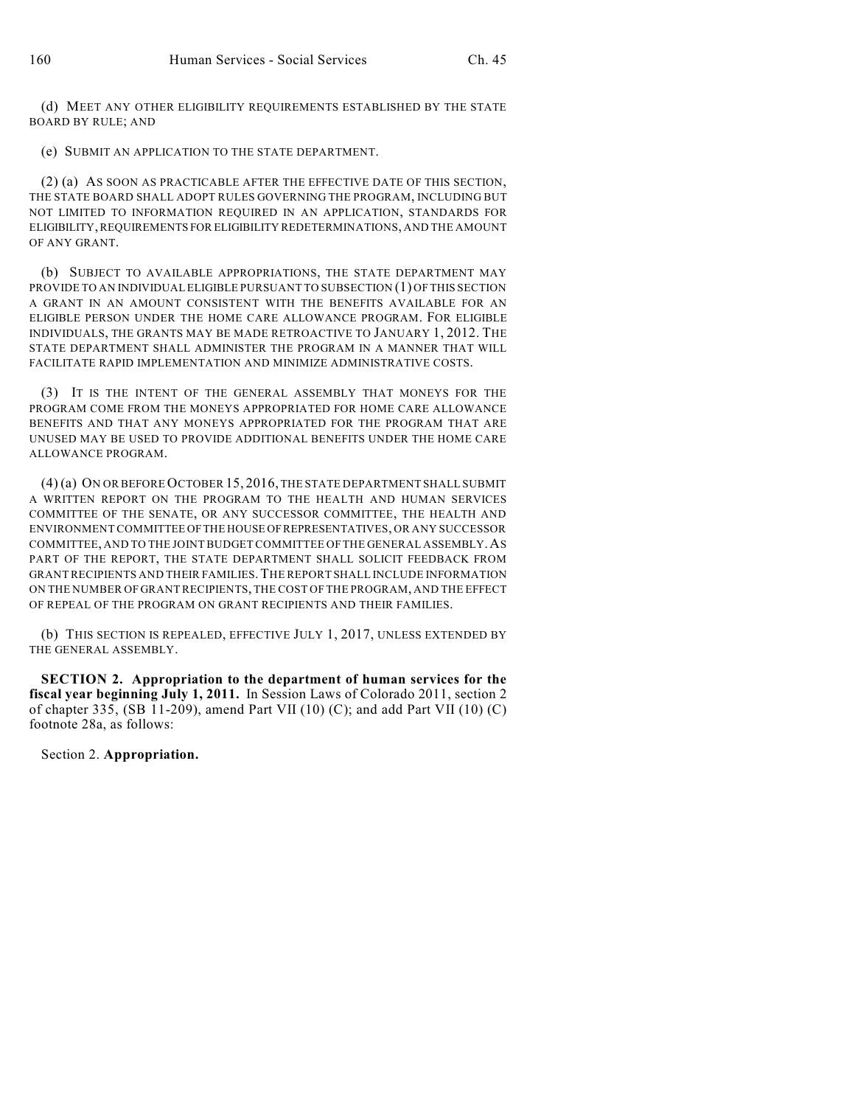(d) MEET ANY OTHER ELIGIBILITY REQUIREMENTS ESTABLISHED BY THE STATE BOARD BY RULE; AND

(e) SUBMIT AN APPLICATION TO THE STATE DEPARTMENT.

(2) (a) AS SOON AS PRACTICABLE AFTER THE EFFECTIVE DATE OF THIS SECTION, THE STATE BOARD SHALL ADOPT RULES GOVERNING THE PROGRAM, INCLUDING BUT NOT LIMITED TO INFORMATION REQUIRED IN AN APPLICATION, STANDARDS FOR ELIGIBILITY,REQUIREMENTS FOR ELIGIBILITY REDETERMINATIONS, AND THE AMOUNT OF ANY GRANT.

(b) SUBJECT TO AVAILABLE APPROPRIATIONS, THE STATE DEPARTMENT MAY PROVIDE TO AN INDIVIDUAL ELIGIBLE PURSUANT TO SUBSECTION (1) OF THIS SECTION A GRANT IN AN AMOUNT CONSISTENT WITH THE BENEFITS AVAILABLE FOR AN ELIGIBLE PERSON UNDER THE HOME CARE ALLOWANCE PROGRAM. FOR ELIGIBLE INDIVIDUALS, THE GRANTS MAY BE MADE RETROACTIVE TO JANUARY 1, 2012. THE STATE DEPARTMENT SHALL ADMINISTER THE PROGRAM IN A MANNER THAT WILL FACILITATE RAPID IMPLEMENTATION AND MINIMIZE ADMINISTRATIVE COSTS.

(3) IT IS THE INTENT OF THE GENERAL ASSEMBLY THAT MONEYS FOR THE PROGRAM COME FROM THE MONEYS APPROPRIATED FOR HOME CARE ALLOWANCE BENEFITS AND THAT ANY MONEYS APPROPRIATED FOR THE PROGRAM THAT ARE UNUSED MAY BE USED TO PROVIDE ADDITIONAL BENEFITS UNDER THE HOME CARE ALLOWANCE PROGRAM.

(4) (a) ON OR BEFORE OCTOBER 15, 2016, THE STATE DEPARTMENT SHALL SUBMIT A WRITTEN REPORT ON THE PROGRAM TO THE HEALTH AND HUMAN SERVICES COMMITTEE OF THE SENATE, OR ANY SUCCESSOR COMMITTEE, THE HEALTH AND ENVIRONMENT COMMITTEE OFTHE HOUSE OFREPRESENTATIVES, OR ANY SUCCESSOR COMMITTEE, AND TO THE JOINTBUDGET COMMITTEE OF THE GENERAL ASSEMBLY.AS PART OF THE REPORT, THE STATE DEPARTMENT SHALL SOLICIT FEEDBACK FROM GRANTRECIPIENTS AND THEIR FAMILIES.THE REPORT SHALL INCLUDE INFORMATION ON THE NUMBER OF GRANT RECIPIENTS, THE COST OF THE PROGRAM, AND THE EFFECT OF REPEAL OF THE PROGRAM ON GRANT RECIPIENTS AND THEIR FAMILIES.

(b) THIS SECTION IS REPEALED, EFFECTIVE JULY 1, 2017, UNLESS EXTENDED BY THE GENERAL ASSEMBLY.

**SECTION 2. Appropriation to the department of human services for the fiscal year beginning July 1, 2011.** In Session Laws of Colorado 2011, section 2 of chapter 335, (SB 11-209), amend Part VII (10) (C); and add Part VII (10) (C) footnote 28a, as follows:

Section 2. **Appropriation.**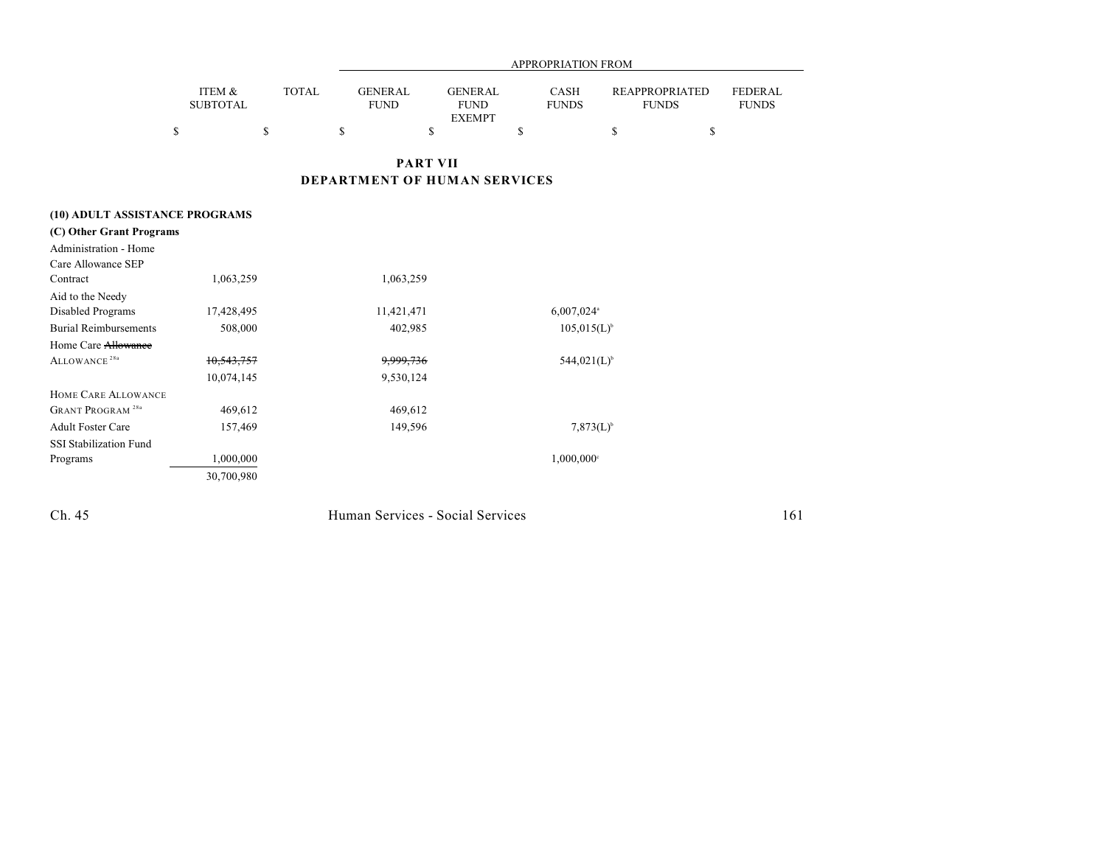|                                    | APPROPRIATION FROM        |              |                               |                                                |                             |                |                                       |                                |
|------------------------------------|---------------------------|--------------|-------------------------------|------------------------------------------------|-----------------------------|----------------|---------------------------------------|--------------------------------|
|                                    | ITEM &<br><b>SUBTOTAL</b> | <b>TOTAL</b> | <b>GENERAL</b><br><b>FUND</b> | <b>GENERAL</b><br><b>FUND</b><br><b>EXEMPT</b> | <b>CASH</b><br><b>FUNDS</b> |                | <b>REAPPROPRIATED</b><br><b>FUNDS</b> | <b>FEDERAL</b><br><b>FUNDS</b> |
|                                    | \$<br>\$                  |              | \$                            | \$                                             | \$                          | \$             | \$                                    |                                |
|                                    |                           |              |                               | <b>PART VII</b>                                |                             |                |                                       |                                |
|                                    |                           |              |                               | DEPARTMENT OF HUMAN SERVICES                   |                             |                |                                       |                                |
| (10) ADULT ASSISTANCE PROGRAMS     |                           |              |                               |                                                |                             |                |                                       |                                |
| (C) Other Grant Programs           |                           |              |                               |                                                |                             |                |                                       |                                |
| Administration - Home              |                           |              |                               |                                                |                             |                |                                       |                                |
| Care Allowance SEP                 |                           |              |                               |                                                |                             |                |                                       |                                |
| Contract                           | 1,063,259                 |              | 1,063,259                     |                                                |                             |                |                                       |                                |
| Aid to the Needy                   |                           |              |                               |                                                |                             |                |                                       |                                |
| Disabled Programs                  | 17,428,495                |              | 11,421,471                    |                                                | 6,007,024 <sup>a</sup>      |                |                                       |                                |
| <b>Burial Reimbursements</b>       | 508,000                   |              | 402,985                       |                                                | $105,015(L)^{b}$            |                |                                       |                                |
| Home Care Allowance                |                           |              |                               |                                                |                             |                |                                       |                                |
| ALLOWANCE <sup>28a</sup>           | 10,543,757                |              | 9,999,736                     |                                                | $544,021(L)^{6}$            |                |                                       |                                |
|                                    | 10,074,145                |              | 9,530,124                     |                                                |                             |                |                                       |                                |
| HOME CARE ALLOWANCE                |                           |              |                               |                                                |                             |                |                                       |                                |
| <b>GRANT PROGRAM<sup>28a</sup></b> | 469,612                   |              | 469,612                       |                                                |                             |                |                                       |                                |
| <b>Adult Foster Care</b>           | 157,469                   |              | 149,596                       |                                                |                             | $7,873(L)^{6}$ |                                       |                                |
| SSI Stabilization Fund             |                           |              |                               |                                                |                             |                |                                       |                                |
| Programs                           | 1,000,000                 |              |                               |                                                | 1,000,000°                  |                |                                       |                                |
|                                    | 30,700,980                |              |                               |                                                |                             |                |                                       |                                |

Ch. 45 Human Services - Social Services 161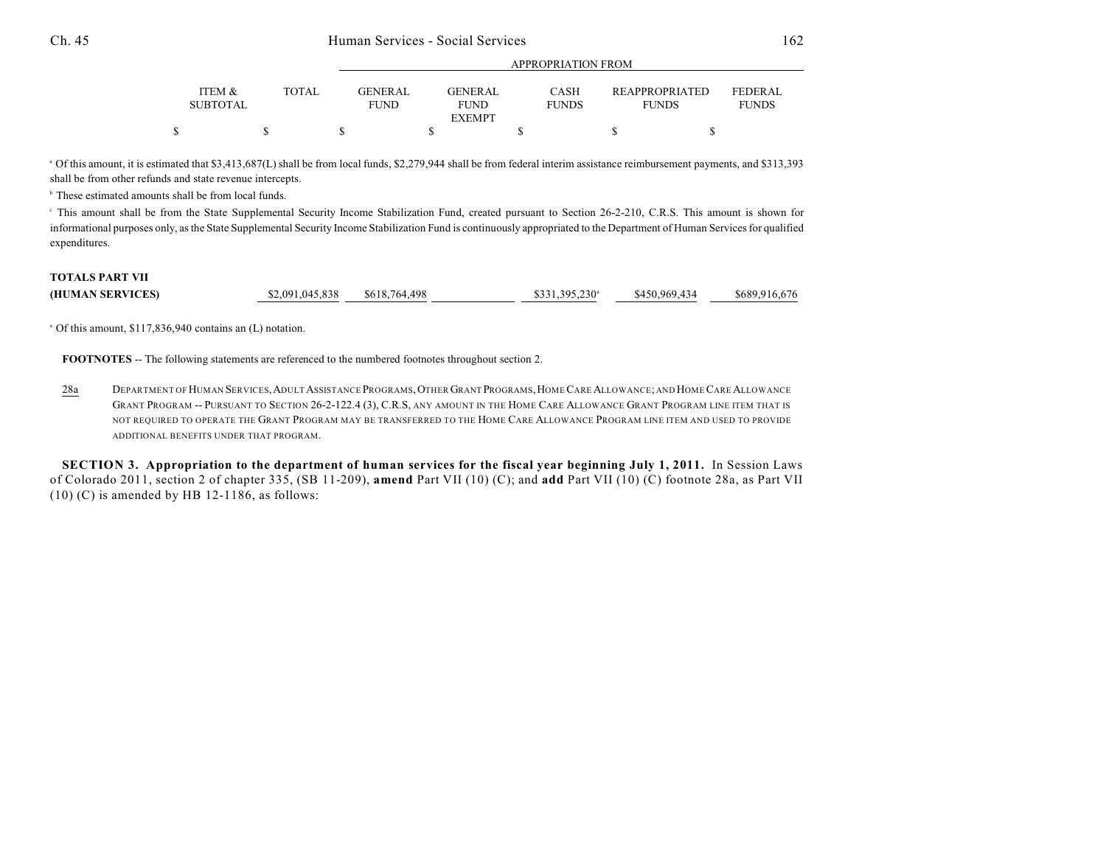| <b>ITEM &amp;</b><br><b>SUBTOTAL</b> | <b>TOTAL</b> | <b>GENER AL</b><br><b>FUND</b> | GENERAL<br><b>FUND</b><br><b>EXEMPT</b> | <b>CASH</b><br><b>FUNDS</b> | <b>REAPPROPRIATED</b><br><b>FUNDS</b> | <b>FEDERAL</b><br><b>FUNDS</b> |
|--------------------------------------|--------------|--------------------------------|-----------------------------------------|-----------------------------|---------------------------------------|--------------------------------|
|                                      |              |                                |                                         |                             |                                       |                                |

APPROPRIATION FROM

Of this amount, it is estimated that \$3,413,687(L) shall be from local funds, \$2,279,944 shall be from federal interim assistance reimbursement payments, and \$313,393 <sup>a</sup> shall be from other refunds and state revenue intercepts.

<sup>b</sup> These estimated amounts shall be from local funds.

This amount shall be from the State Supplemental Security Income Stabilization Fund, created pursuant to Section 26-2-210, C.R.S. This amount is shown for <sup>c</sup> informational purposes only, as the State Supplemental Security Income Stabilization Fund is continuously appropriated to the Department of Human Services for qualified expenditures.

#### **TOTALS PART VII**

| \$2,091,045,838<br>\$618,764,498<br>$$331,395,230$ <sup>a</sup><br>(HUMAN SERVICES)<br>\$450.969.434 |  |  |  |  |  | \$689,916,676 |
|------------------------------------------------------------------------------------------------------|--|--|--|--|--|---------------|
|------------------------------------------------------------------------------------------------------|--|--|--|--|--|---------------|

<sup>a</sup> Of this amount, \$117,836,940 contains an (L) notation.

**FOOTNOTES** -- The following statements are referenced to the numbered footnotes throughout section 2.

28a DEPARTMENT OF HUMAN SERVICES,ADULT ASSISTANCE PROGRAMS,OTHER GRANT PROGRAMS,HOMECARE ALLOWANCE; AND HOMECARE ALLOWANCE GRANT PROGRAM -- PURSUANT TO SECTION 26-2-122.4 (3), C.R.S, ANY AMOUNT IN THE HOME CARE ALLOWANCE GRANT PROGRAM LINE ITEM THAT IS NOT REQUIRED TO OPERATE THE GRANT PROGRAM MAY BE TRANSFERRED TO THE HOME CARE ALLOWANCE PROGRAM LINE ITEM AND USED TO PROVIDE ADDITIONAL BENEFITS UNDER THAT PROGRAM.

SECTION 3. Appropriation to the department of human services for the fiscal year beginning July 1, 2011. In Session Laws of Colorado 2011, section 2 of chapter 335, (SB 11-209), **amend** Part VII (10) (C); and **add** Part VII (10) (C) footnote 28a, as Part VII  $(10)$  (C) is amended by HB 12-1186, as follows: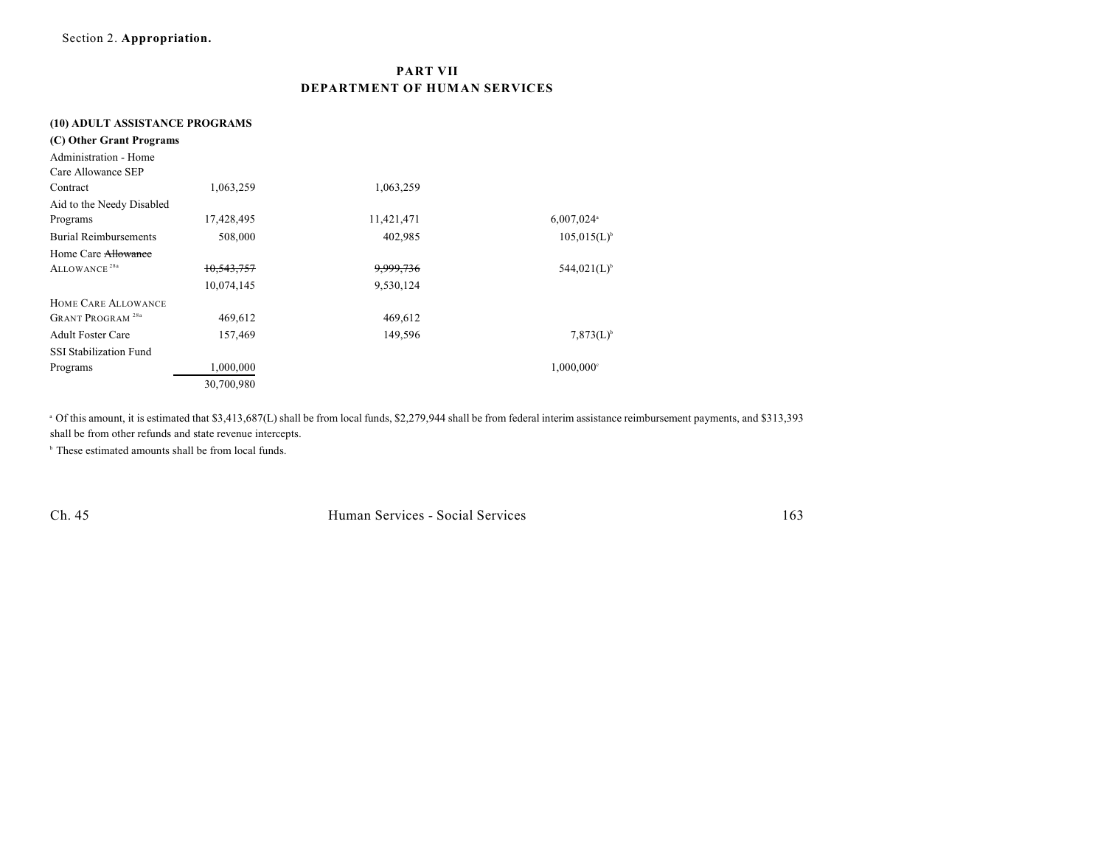## **PART VII DEPARTMENT OF HUMAN SERVICES**

#### **(10) ADULT ASSISTANCE PROGRAMS**

| (C) Other Grant Programs           |            |            |                          |
|------------------------------------|------------|------------|--------------------------|
| Administration - Home              |            |            |                          |
| Care Allowance SEP                 |            |            |                          |
| Contract                           | 1,063,259  | 1,063,259  |                          |
| Aid to the Needy Disabled          |            |            |                          |
| Programs                           | 17,428,495 | 11,421,471 | $6,007,024$ <sup>a</sup> |
| <b>Burial Reimbursements</b>       | 508,000    | 402,985    | $105,015(L)^{b}$         |
| Home Care Allowance                |            |            |                          |
| ALLOWANCE <sup>28a</sup>           | 10,543,757 | 9,999,736  | $544,021(L)^{6}$         |
|                                    | 10,074,145 | 9,530,124  |                          |
| HOME CARE ALLOWANCE                |            |            |                          |
| <b>GRANT PROGRAM<sup>28a</sup></b> | 469,612    | 469,612    |                          |
| <b>Adult Foster Care</b>           | 157,469    | 149,596    | $7,873(L)^{6}$           |
| <b>SSI Stabilization Fund</b>      |            |            |                          |
| Programs                           | 1,000,000  |            | $1,000,000$ <sup>c</sup> |
|                                    | 30,700,980 |            |                          |

Of this amount, it is estimated that \$3,413,687(L) shall be from local funds, \$2,279,944 shall be from federal interim assistance reimbursement payments, and \$313,393 <sup>a</sup> shall be from other refunds and state revenue intercepts.

 $\cdot$  These estimated amounts shall be from local funds.

Ch. 45 Human Services - Social Services 163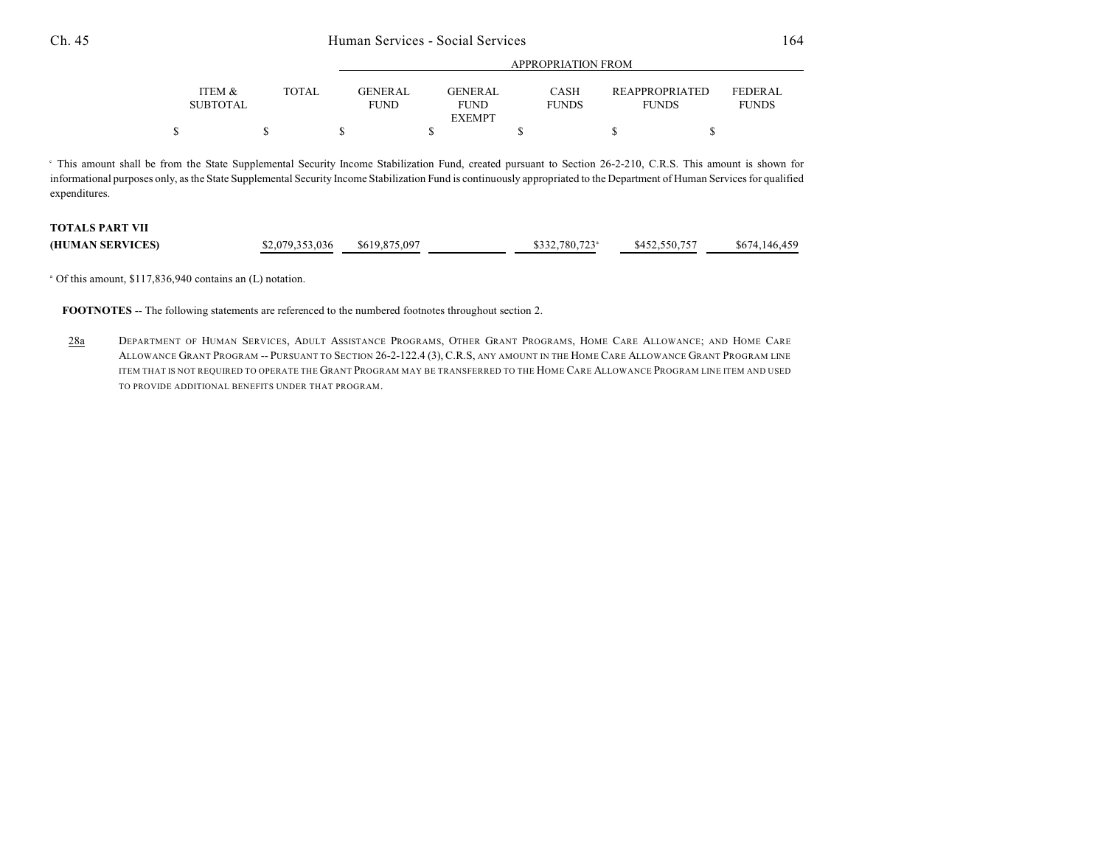### Ch. 45 Human Services - Social Services 164

|                                      |       |                               | <u>IN LIWI KELIYO LA KOM</u>                   |                             |                                       |                           |  |
|--------------------------------------|-------|-------------------------------|------------------------------------------------|-----------------------------|---------------------------------------|---------------------------|--|
| <b>ITEM &amp;</b><br><b>SUBTOTAL</b> | TOTAL | <b>GENERAL</b><br><b>FUND</b> | <b>GENERAL</b><br><b>FUND</b><br><b>EXEMPT</b> | <b>CASH</b><br><b>FUNDS</b> | <b>REAPPROPRIATED</b><br><b>FUNDS</b> | FEDER AL.<br><b>FUNDS</b> |  |
|                                      |       |                               |                                                |                             |                                       |                           |  |

APPROPRIATION FROM

This amount shall be from the State Supplemental Security Income Stabilization Fund, created pursuant to Section 26-2-210, C.R.S. This amount is shown for <sup>c</sup> informational purposes only, as the State Supplemental Security Income Stabilization Fund is continuously appropriated to the Department of Human Services for qualified expenditures.

# **TOTALS PART VII**

| \$2,079,353,036<br>\$619,875,097<br>(HUMAN SERVICES) | \$332,780,723 <sup>a</sup><br>\$452,550,757 | \$674,146,459 |
|------------------------------------------------------|---------------------------------------------|---------------|
|------------------------------------------------------|---------------------------------------------|---------------|

<sup>a</sup> Of this amount, \$117,836,940 contains an (L) notation.

**FOOTNOTES** -- The following statements are referenced to the numbered footnotes throughout section 2.

28a DEPARTMENT OF HUMAN SERVICES, ADULT ASSISTANCE PROGRAMS, OTHER GRANT PROGRAMS, HOME CARE ALLOWANCE; AND HOME CARE ALLOWANCE GRANT PROGRAM -- PURSUANT TO SECTION 26-2-122.4 (3), C.R.S, ANY AMOUNT IN THE HOME CARE ALLOWANCE GRANT PROGRAM LINE ITEM THAT IS NOT REQUIRED TO OPERATE THE GRANT PROGRAM MAY BE TRANSFERRED TO THE HOME CARE ALLOWANCE PROGRAM LINE ITEM AND USED TO PROVIDE ADDITIONAL BENEFITS UNDER THAT PROGRAM.